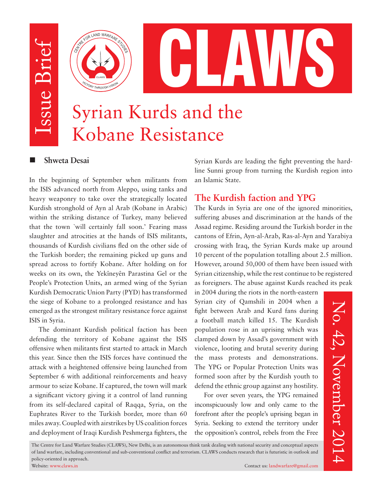Issue Brief ssue Brief

**VICTORY** 

CLAWS



# Syrian Kurds and the Kobane Resistance

#### **Shweta Desai**

In the beginning of September when militants from the ISIS advanced north from Aleppo, using tanks and heavy weaponry to take over the strategically located Kurdish stronghold of Ayn al Arab (Kobane in Arabic) within the striking distance of Turkey, many believed that the town `will certainly fall soon.' Fearing mass slaughter and atrocities at the hands of ISIS militants, thousands of Kurdish civilians fled on the other side of the Turkish border; the remaining picked up guns and spread across to fortify Kobane. After holding on for weeks on its own, the Yekîneyên Parastina Gel or the People's Protection Units, an armed wing of the Syrian Kurdish Democratic Union Party (PYD) has transformed the siege of Kobane to a prolonged resistance and has emerged as the strongest military resistance force against ISIS in Syria.

The dominant Kurdish political faction has been defending the territory of Kobane against the ISIS offensive when militants first started to attack in March this year. Since then the ISIS forces have continued the attack with a heightened offensive being launched from September 6 with additional reinforcements and heavy armour to seize Kobane. If captured, the town will mark a significant victory giving it a control of land running from its self-declared capital of Raqqa, Syria, on the Euphrates River to the Turkish border, more than 60 miles away. Coupled with airstrikes by US coalition forces and deployment of Iraqi Kurdish Peshmerga fighters, the

Syrian Kurds are leading the fight preventing the hardline Sunni group from turning the Kurdish region into an Islamic State.

### **The Kurdish faction and YPG**

The Kurds in Syria are one of the ignored minorities, suffering abuses and discrimination at the hands of the Assad regime. Residing around the Turkish border in the cantons of Efrin, Ayn-al-Arab, Ras-al-Ayn and Yarabiya crossing with Iraq, the Syrian Kurds make up around 10 percent of the population totalling about 2.5 million. However, around 50,000 of them have been issued with Syrian citizenship, while the rest continue to be registered as foreigners. The abuse against Kurds reached its peak

in 2004 during the riots in the north-eastern Syrian city of Qamshili in 2004 when a fight between Arab and Kurd fans during a football match killed 15. The Kurdish population rose in an uprising which was clamped down by Assad's government with violence, looting and brutal severity during the mass protests and demonstrations. The YPG or Popular Protection Units was formed soon after by the Kurdish youth to defend the ethnic group against any hostility.

For over seven years, the YPG remained inconspicuously low and only came to the forefront after the people's uprising began in Syria. Seeking to extend the territory under the opposition's control, rebels from the Free

The Centre for Land Warfare Studies (CLAWS), New Delhi, is an autonomous think tank dealing with national security and conceptual aspects of land warfare, including conventional and sub-conventional conflict and terrorism. CLAWS conducts research that is futuristic in outlook and policy-oriented in approach.

No. 42, November 2014

No. 42, November 2014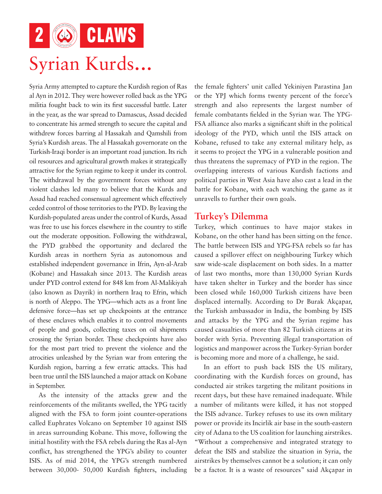2 **6** CLAWS Syrian Kurds...

Syria Army attempted to capture the Kurdish region of Ras al Ayn in 2012. They were however rolled back as the YPG militia fought back to win its first successful battle. Later in the year, as the war spread to Damascus, Assad decided to concentrate his armed strength to secure the capital and withdrew forces barring al Hassakah and Qamshili from Syria's Kurdish areas. The al Hassakah governorate on the Turkish-Iraqi border is an important road junction. Its rich oil resources and agricultural growth makes it strategically attractive for the Syrian regime to keep it under its control. The withdrawal by the government forces without any violent clashes led many to believe that the Kurds and Assad had reached consensual agreement which effectively ceded control of those territories to the PYD. By leaving the Kurdish-populated areas under the control of Kurds, Assad was free to use his forces elsewhere in the country to stifle out the moderate opposition. Following the withdrawal, the PYD grabbed the opportunity and declared the Kurdish areas in northern Syria as autonomous and established independent governance in Ifrin, Ayn-al-Arab (Kobane) and Hassakah since 2013. The Kurdish areas under PYD control extend for 848 km from Al-Malikiyah (also known as Dayrik) in northern Iraq to Efrin, which is north of Aleppo. The YPG—which acts as a front line defensive force—has set up checkpoints at the entrance of these enclaves which enables it to control movements of people and goods, collecting taxes on oil shipments crossing the Syrian border. These checkpoints have also for the most part tried to prevent the violence and the atrocities unleashed by the Syrian war from entering the Kurdish region, barring a few erratic attacks. This had been true until the ISIS launched a major attack on Kobane in September.

As the intensity of the attacks grew and the reinforcements of the militants swelled, the YPG tacitly aligned with the FSA to form joint counter-operations called Euphrates Volcano on September 10 against ISIS in areas surrounding Kobane. This move, following the initial hostility with the FSA rebels during the Ras al-Ayn conflict, has strengthened the YPG's ability to counter ISIS. As of mid 2014, the YPG's strength numbered between 30,000- 50,000 Kurdish fighters, including the female fighters' unit called Yekiniyen Parastina Jan or the YPJ which forms twenty percent of the force's strength and also represents the largest number of female combatants fielded in the Syrian war. The YPG-FSA alliance also marks a significant shift in the political ideology of the PYD, which until the ISIS attack on Kobane, refused to take any external military help, as it seems to project the YPG in a vulnerable position and thus threatens the supremacy of PYD in the region. The overlapping interests of various Kurdish factions and political parties in West Asia have also cast a lead in the battle for Kobane, with each watching the game as it unravells to further their own goals.

#### **Turkey's Dilemma**

Turkey, which continues to have major stakes in Kobane, on the other hand has been sitting on the fence. The battle between ISIS and YPG-FSA rebels so far has caused a spillover effect on neighbouring Turkey which saw wide-scale displacement on both sides. In a matter of last two months, more than 130,000 Syrian Kurds have taken shelter in Turkey and the border has since been closed while 160,000 Turkish citizens have been displaced internally. According to Dr Burak Akçapar, the Turkish ambassador in India, the bombing by ISIS and attacks by the YPG and the Syrian regime has caused casualties of more than 82 Turkish citizens at its border with Syria. Preventing illegal transportation of logistics and manpower across the Turkey-Syrian border is becoming more and more of a challenge, he said.

In an effort to push back ISIS the US military, coordinating with the Kurdish forces on ground, has conducted air strikes targeting the militant positions in recent days, but these have remained inadequate. While a number of militants were killed, it has not stopped the ISIS advance. Turkey refuses to use its own military power or provide its Incirlik air base in the south-eastern city of Adana to the US coalition for launching airstrikes. "Without a comprehensive and integrated strategy to defeat the ISIS and stabilize the situation in Syria, the airstrikes by themselves cannot be a solution; it can only be a factor. It is a waste of resources" said Akçapar in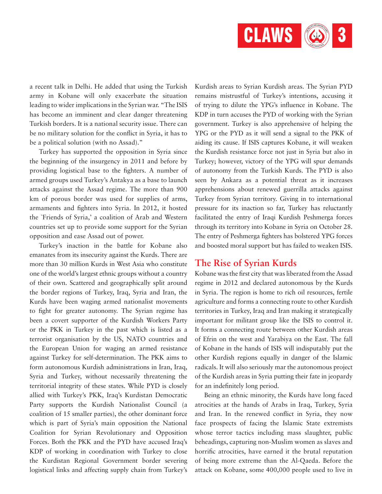

a recent talk in Delhi. He added that using the Turkish army in Kobane will only exacerbate the situation leading to wider implications in the Syrian war. "The ISIS has become an imminent and clear danger threatening Turkish borders. It is a national security issue. There can be no military solution for the conflict in Syria, it has to be a political solution (with no Assad)."

Turkey has supported the opposition in Syria since the beginning of the insurgency in 2011 and before by providing logistical base to the fighters. A number of armed groups used Turkey's Antakya as a base to launch attacks against the Assad regime. The more than 900 km of porous border was used for supplies of arms, armaments and fighters into Syria. In 2012, it hosted the `Friends of Syria,' a coalition of Arab and Western countries set up to provide some support for the Syrian opposition and ease Assad out of power.

Turkey's inaction in the battle for Kobane also emanates from its insecurity against the Kurds. There are more than 30 million Kurds in West Asia who constitute one of the world's largest ethnic groups without a country of their own. Scattered and geographically split around the border regions of Turkey, Iraq, Syria and Iran, the Kurds have been waging armed nationalist movements to fight for greater autonomy. The Syrian regime has been a covert supporter of the Kurdish Workers Party or the PKK in Turkey in the past which is listed as a terrorist organisation by the US, NATO countries and the European Union for waging an armed resistance against Turkey for self-determination. The PKK aims to form autonomous Kurdish administrations in Iran, Iraq, Syria and Turkey, without necessarily threatening the territorial integrity of these states. While PYD is closely allied with Turkey's PKK, Iraq's Kurdistan Democratic Party supports the Kurdish Nationalist Council (a coalition of 15 smaller parties), the other dominant force which is part of Syria's main opposition the National Coalition for Syrian Revolutionary and Opposition Forces. Both the PKK and the PYD have accused Iraq's KDP of working in coordination with Turkey to close the Kurdistan Regional Government border severing logistical links and affecting supply chain from Turkey's Kurdish areas to Syrian Kurdish areas. The Syrian PYD remains mistrustful of Turkey's intentions, accusing it of trying to dilute the YPG's influence in Kobane. The KDP in turn accuses the PYD of working with the Syrian government. Turkey is also apprehensive of helping the YPG or the PYD as it will send a signal to the PKK of aiding its cause. If ISIS captures Kobane, it will weaken the Kurdish resistance force not just in Syria but also in Turkey; however, victory of the YPG will spur demands of autonomy from the Turkish Kurds. The PYD is also seen by Ankara as a potential threat as it increases apprehensions about renewed guerrilla attacks against Turkey from Syrian territory. Giving in to international pressure for its inaction so far, Turkey has reluctantly facilitated the entry of Iraqi Kurdish Peshmerga forces through its territory into Kobane in Syria on October 28. The entry of Peshmerga fighters has bolstered YPG forces and boosted moral support but has failed to weaken ISIS.

#### **The Rise of Syrian Kurds**

Kobane was the first city that was liberated from the Assad regime in 2012 and declared autonomous by the Kurds in Syria. The region is home to rich oil resources, fertile agriculture and forms a connecting route to other Kurdish territories in Turkey, Iraq and Iran making it strategically important for militant group like the ISIS to control it. It forms a connecting route between other Kurdish areas of Efrin on the west and Yarabiya on the East. The fall of Kobane in the hands of ISIS will indisputably put the other Kurdish regions equally in danger of the Islamic radicals. It will also seriously mar the autonomous project of the Kurdish areas in Syria putting their fate in jeopardy for an indefinitely long period.

Being an ethnic minority, the Kurds have long faced atrocities at the hands of Arabs in Iraq, Turkey, Syria and Iran. In the renewed conflict in Syria, they now face prospects of facing the Islamic State extremists whose terror tactics including mass slaughter, public beheadings, capturing non-Muslim women as slaves and horrific atrocities, have earned it the brutal reputation of being more extreme than the Al-Qaeda. Before the attack on Kobane, some 400,000 people used to live in